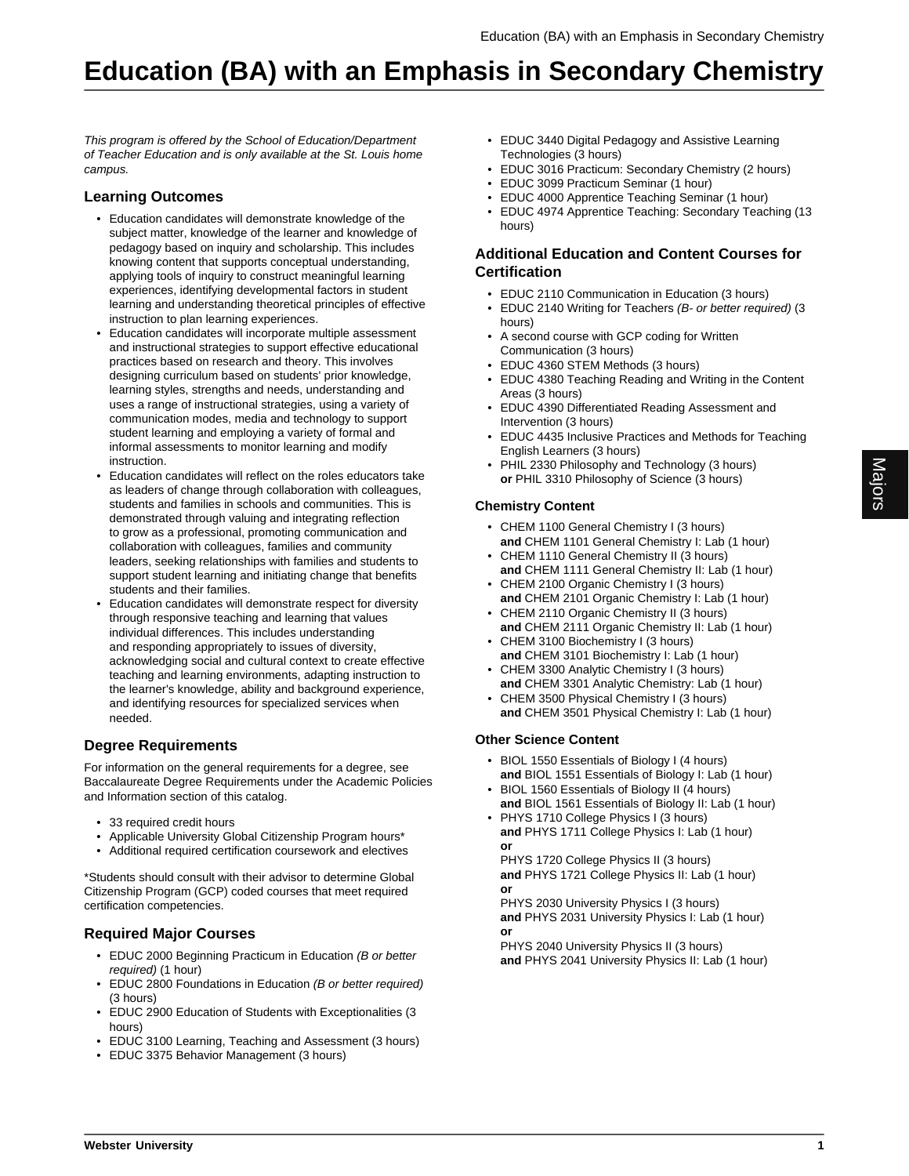# **Education (BA) with an Emphasis in Secondary Chemistry**

This program is offered by the School of Education/Department of Teacher Education and is only available at the St. Louis home campus.

### **Learning Outcomes**

- Education candidates will demonstrate knowledge of the subject matter, knowledge of the learner and knowledge of pedagogy based on inquiry and scholarship. This includes knowing content that supports conceptual understanding, applying tools of inquiry to construct meaningful learning experiences, identifying developmental factors in student learning and understanding theoretical principles of effective instruction to plan learning experiences.
- Education candidates will incorporate multiple assessment and instructional strategies to support effective educational practices based on research and theory. This involves designing curriculum based on students' prior knowledge, learning styles, strengths and needs, understanding and uses a range of instructional strategies, using a variety of communication modes, media and technology to support student learning and employing a variety of formal and informal assessments to monitor learning and modify instruction.
- Education candidates will reflect on the roles educators take as leaders of change through collaboration with colleagues, students and families in schools and communities. This is demonstrated through valuing and integrating reflection to grow as a professional, promoting communication and collaboration with colleagues, families and community leaders, seeking relationships with families and students to support student learning and initiating change that benefits students and their families.
- Education candidates will demonstrate respect for diversity through responsive teaching and learning that values individual differences. This includes understanding and responding appropriately to issues of diversity, acknowledging social and cultural context to create effective teaching and learning environments, adapting instruction to the learner's knowledge, ability and background experience, and identifying resources for specialized services when needed.

# **Degree Requirements**

For information on the general requirements for a degree, see Baccalaureate Degree Requirements under the Academic Policies and Information section of this catalog.

- 33 required credit hours
- Applicable University Global Citizenship Program hours\*
- Additional required certification coursework and electives

\*Students should consult with their advisor to determine Global Citizenship Program (GCP) coded courses that meet required certification competencies.

#### **Required Major Courses**

- EDUC 2000 Beginning Practicum in Education (B or better required) (1 hour)
- EDUC 2800 Foundations in Education (B or better required) (3 hours)
- EDUC 2900 Education of Students with Exceptionalities (3 hours)
- EDUC 3100 Learning, Teaching and Assessment (3 hours)
- EDUC 3375 Behavior Management (3 hours)
- EDUC 3440 Digital Pedagogy and Assistive Learning Technologies (3 hours)
- EDUC 3016 Practicum: Secondary Chemistry (2 hours)
- EDUC 3099 Practicum Seminar (1 hour)
- EDUC 4000 Apprentice Teaching Seminar (1 hour)
- EDUC 4974 Apprentice Teaching: Secondary Teaching (13 hours)

# **Additional Education and Content Courses for Certification**

- EDUC 2110 Communication in Education (3 hours)
- EDUC 2140 Writing for Teachers (B- or better required) (3 hours)
- A second course with GCP coding for Written Communication (3 hours)
- EDUC 4360 STEM Methods (3 hours)
- EDUC 4380 Teaching Reading and Writing in the Content Areas (3 hours)
- EDUC 4390 Differentiated Reading Assessment and Intervention (3 hours)
- EDUC 4435 Inclusive Practices and Methods for Teaching English Learners (3 hours)
- PHIL 2330 Philosophy and Technology (3 hours) **or** PHIL 3310 Philosophy of Science (3 hours)

# **Chemistry Content**

- CHEM 1100 General Chemistry I (3 hours) **and** CHEM 1101 General Chemistry I: Lab (1 hour)
- CHEM 1110 General Chemistry II (3 hours) **and** CHEM 1111 General Chemistry II: Lab (1 hour)
- CHEM 2100 Organic Chemistry I (3 hours)
- **and** CHEM 2101 Organic Chemistry I: Lab (1 hour) • CHEM 2110 Organic Chemistry II (3 hours)
- **and** CHEM 2111 Organic Chemistry II: Lab (1 hour) • CHEM 3100 Biochemistry I (3 hours)
- **and** CHEM 3101 Biochemistry I: Lab (1 hour) • CHEM 3300 Analytic Chemistry I (3 hours)
- **and** CHEM 3301 Analytic Chemistry: Lab (1 hour) • CHEM 3500 Physical Chemistry I (3 hours) **and** CHEM 3501 Physical Chemistry I: Lab (1 hour)

#### **Other Science Content**

- BIOL 1550 Essentials of Biology I (4 hours) **and** BIOL 1551 Essentials of Biology I: Lab (1 hour)
- BIOL 1560 Essentials of Biology II (4 hours) **and** BIOL 1561 Essentials of Biology II: Lab (1 hour)
- PHYS 1710 College Physics I (3 hours) **and** PHYS 1711 College Physics I: Lab (1 hour)

**or** PHYS 1720 College Physics II (3 hours) **and** PHYS 1721 College Physics II: Lab (1 hour) **or**

PHYS 2030 University Physics I (3 hours) **and** PHYS 2031 University Physics I: Lab (1 hour) **or**

PHYS 2040 University Physics II (3 hours) **and** PHYS 2041 University Physics II: Lab (1 hour)